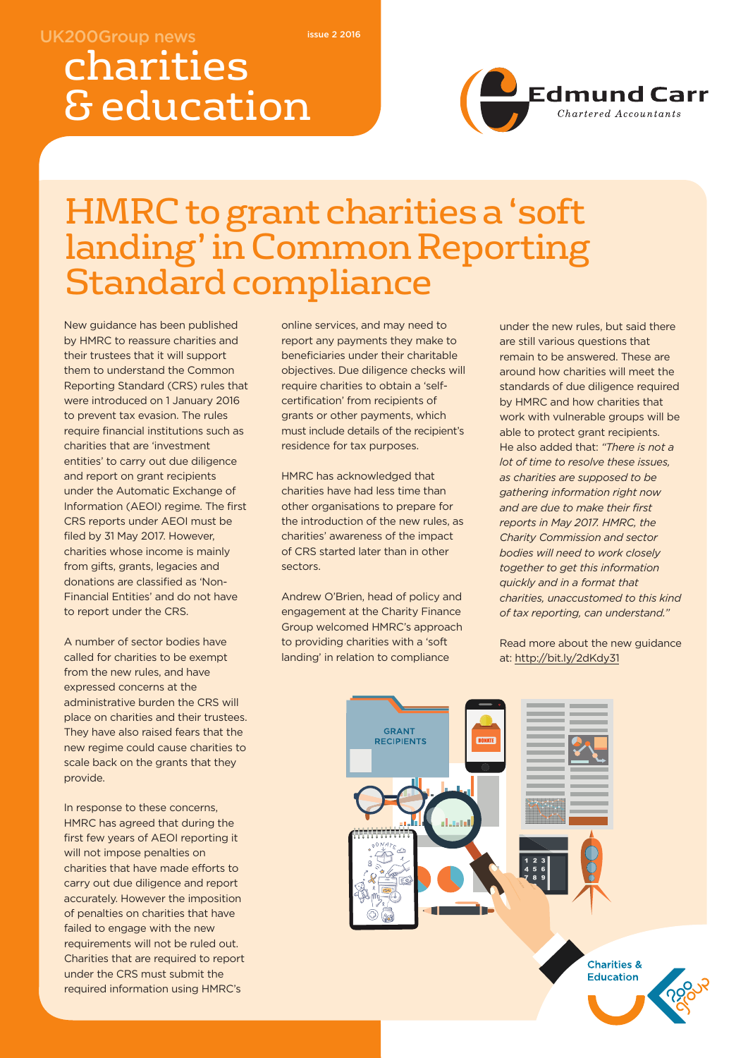#### **UK200Group news**

**issue 2 2016**

# charities & education

# Edmund Carr

# HMRC togrant charities a 'soft landing'in Common Reporting Standard compliance

New guidance has been published by HMRC to reassure charities and their trustees that it will support them to understand the Common Reporting Standard (CRS) rules that were introduced on 1 January 2016 to prevent tax evasion. The rules require financial institutions such as charities that are 'investment entities' to carry out due diligence and report on grant recipients under the Automatic Exchange of Information (AEOI) regime. The first CRS reports under AEOI must be filed by 31 May 2017. However, charities whose income is mainly from gifts, grants, legacies and donations are classified as 'Non-Financial Entities' and do not have to report under the CRS.

A number of sector bodies have called for charities to be exempt from the new rules, and have expressed concerns at the administrative burden the CRS will place on charities and their trustees. They have also raised fears that the new regime could cause charities to scale back on the grants that they provide.

In response to these concerns, HMRC has agreed that during the first few years of AEOI reporting it will not impose penalties on charities that have made efforts to carry out due diligence and report accurately. However the imposition of penalties on charities that have failed to engage with the new requirements will not be ruled out. Charities that are required to report under the CRS must submit the required information using HMRC's

online services, and may need to report any payments they make to beneficiaries under their charitable objectives. Due diligence checks will require charities to obtain a 'selfcertification' from recipients of grants or other payments, which must include details of the recipient's residence for tax purposes.

HMRC has acknowledged that charities have had less time than other organisations to prepare for the introduction of the new rules, as charities' awareness of the impact of CRS started later than in other sectors.

Andrew O'Brien, head of policy and engagement at the Charity Finance Group welcomed HMRC's approach to providing charities with a 'soft landing' in relation to compliance

under the new rules, but said there are still various questions that remain to be answered. These are around how charities will meet the standards of due diligence required by HMRC and how charities that work with vulnerable groups will be able to protect grant recipients. He also added that: *"There is not a lot of time to resolve these issues, as charities are supposed to be gathering information right now and are due to make their first reports in May 2017. HMRC, the Charity Commission and sector bodies will need to work closely together to get this information quickly and in a format that charities, unaccustomed to this kind of tax reporting, can understand."*

Read more about the new guidance at: http://bit.ly/2dKdy31

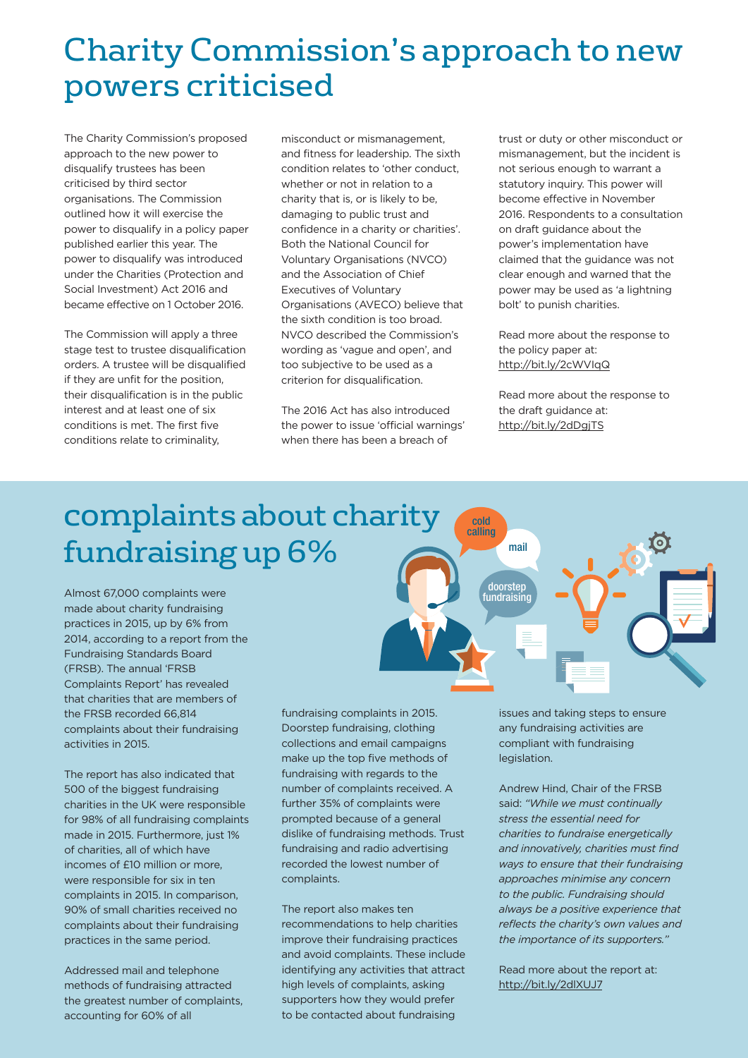# Charity Commission's approach to new powers criticised

The Charity Commission's proposed approach to the new power to disqualify trustees has been criticised by third sector organisations. The Commission outlined how it will exercise the power to disqualify in a policy paper published earlier this year. The power to disqualify was introduced under the Charities (Protection and Social Investment) Act 2016 and became effective on 1 October 2016.

The Commission will apply a three stage test to trustee disqualification orders. A trustee will be disqualified if they are unfit for the position, their disqualification is in the public interest and at least one of six conditions is met. The first five conditions relate to criminality,

misconduct or mismanagement, and fitness for leadership. The sixth condition relates to 'other conduct, whether or not in relation to a charity that is, or is likely to be, damaging to public trust and confidence in a charity or charities'. Both the National Council for Voluntary Organisations (NVCO) and the Association of Chief Executives of Voluntary Organisations (AVECO) believe that the sixth condition is too broad. NVCO described the Commission's wording as 'vague and open', and too subjective to be used as a criterion for disqualification.

The 2016 Act has also introduced the power to issue 'official warnings' when there has been a breach of

trust or duty or other misconduct or mismanagement, but the incident is not serious enough to warrant a statutory inquiry. This power will become effective in November 2016. Respondents to a consultation on draft guidance about the power's implementation have claimed that the guidance was not clear enough and warned that the power may be used as 'a lightning bolt' to punish charities.

Read more about the response to the policy paper at: http://bit.ly/2cWVIqQ

Read more about the response to the draft guidance at: http://bit.ly/2dDgjTS

### complaints about charity fundraisingup6%

Almost 67,000 complaints were made about charity fundraising practices in 2015, up by 6% from 2014, according to a report from the Fundraising Standards Board (FRSB). The annual 'FRSB Complaints Report' has revealed that charities that are members of the FRSB recorded 66,814 complaints about their fundraising activities in 2015.

The report has also indicated that 500 of the biggest fundraising charities in the UK were responsible for 98% of all fundraising complaints made in 2015. Furthermore, just 1% of charities, all of which have incomes of £10 million or more, were responsible for six in ten complaints in 2015. In comparison, 90% of small charities received no complaints about their fundraising practices in the same period.

Addressed mail and telephone methods of fundraising attracted the greatest number of complaints, accounting for 60% of all

fundraising complaints in 2015. Doorstep fundraising, clothing collections and email campaigns make up the top five methods of fundraising with regards to the number of complaints received. A further 35% of complaints were prompted because of a general dislike of fundraising methods. Trust fundraising and radio advertising recorded the lowest number of complaints.

The report also makes ten recommendations to help charities improve their fundraising practices and avoid complaints. These include identifying any activities that attract high levels of complaints, asking supporters how they would prefer to be contacted about fundraising

issues and taking steps to ensure any fundraising activities are compliant with fundraising legislation.

Andrew Hind, Chair of the FRSB said: *"While we must continually stress the essential need for charities to fundraise energetically and innovatively, charities must find ways to ensure that their fundraising approaches minimise any concern to the public. Fundraising should always be a positive experience that reflects the charity's own values and the importance of its supporters."*

Read more about the report at: http://bit.ly/2dlXUJ7

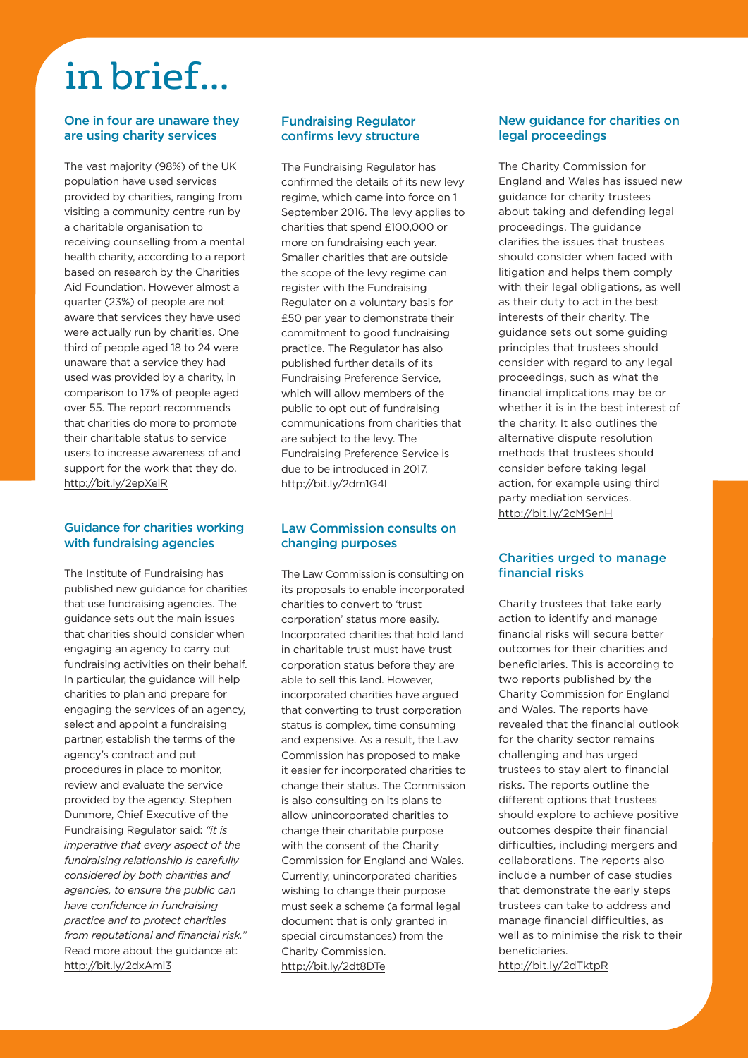# in brief...

#### **One in four are unaware they are using charity services**

The vast majority (98%) of the UK population have used services provided by charities, ranging from visiting a community centre run by a charitable organisation to receiving counselling from a mental health charity, according to a report based on research by the Charities Aid Foundation. However almost a quarter (23%) of people are not aware that services they have used were actually run by charities. One third of people aged 18 to 24 were unaware that a service they had used was provided by a charity, in comparison to 17% of people aged over 55. The report recommends that charities do more to promote their charitable status to service users to increase awareness of and support for the work that they do. http://bit.ly/2epXelR

#### **Guidance for charities working with fundraising agencies**

The Institute of Fundraising has published new guidance for charities that use fundraising agencies. The guidance sets out the main issues that charities should consider when engaging an agency to carry out fundraising activities on their behalf. In particular, the guidance will help charities to plan and prepare for engaging the services of an agency, select and appoint a fundraising partner, establish the terms of the agency's contract and put procedures in place to monitor, review and evaluate the service provided by the agency. Stephen Dunmore, Chief Executive of the Fundraising Regulator said: *"it is imperative that every aspect of the fundraising relationship is carefully considered by both charities and agencies, to ensure the public can have confidence in fundraising practice and to protect charities from reputational and financial risk."* Read more about the guidance at: http://bit.ly/2dxAml3

#### **Fundraising Regulator confirms levy structure**

The Fundraising Regulator has confirmed the details of its new levy regime, which came into force on 1 September 2016. The levy applies to charities that spend £100,000 or more on fundraising each year. Smaller charities that are outside the scope of the levy regime can register with the Fundraising Regulator on a voluntary basis for £50 per year to demonstrate their commitment to good fundraising practice. The Regulator has also published further details of its Fundraising Preference Service, which will allow members of the public to opt out of fundraising communications from charities that are subject to the levy. The Fundraising Preference Service is due to be introduced in 2017. http://bit.ly/2dm1G4l

#### **Law Commission consults on changing purposes**

The Law Commission is consulting on its proposals to enable incorporated charities to convert to 'trust corporation' status more easily. Incorporated charities that hold land in charitable trust must have trust corporation status before they are able to sell this land. However, incorporated charities have argued that converting to trust corporation status is complex, time consuming and expensive. As a result, the Law Commission has proposed to make it easier for incorporated charities to change their status. The Commission is also consulting on its plans to allow unincorporated charities to change their charitable purpose with the consent of the Charity Commission for England and Wales. Currently, unincorporated charities wishing to change their purpose must seek a scheme (a formal legal document that is only granted in special circumstances) from the Charity Commission. http://bit.ly/2dt8DTe

#### **New guidance for charities on legal proceedings**

The Charity Commission for England and Wales has issued new guidance for charity trustees about taking and defending legal proceedings. The guidance clarifies the issues that trustees should consider when faced with litigation and helps them comply with their legal obligations, as well as their duty to act in the best interests of their charity. The guidance sets out some guiding principles that trustees should consider with regard to any legal proceedings, such as what the financial implications may be or whether it is in the best interest of the charity. It also outlines the alternative dispute resolution methods that trustees should consider before taking legal action, for example using third party mediation services. http://bit.ly/2cMSenH

#### **Charities urged to manage financial risks**

Charity trustees that take early action to identify and manage financial risks will secure better outcomes for their charities and beneficiaries. This is according to two reports published by the Charity Commission for England and Wales. The reports have revealed that the financial outlook for the charity sector remains challenging and has urged trustees to stay alert to financial risks. The reports outline the different options that trustees should explore to achieve positive outcomes despite their financial difficulties, including mergers and collaborations. The reports also include a number of case studies that demonstrate the early steps trustees can take to address and manage financial difficulties, as well as to minimise the risk to their beneficiaries.

http://bit.ly/2dTktpR